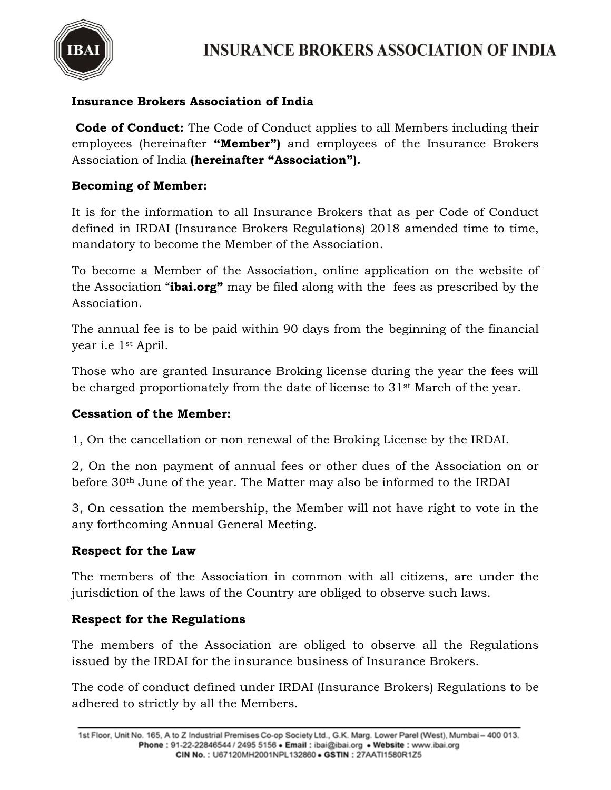

# **Insurance Brokers Association of India**

**Code of Conduct:** The Code of Conduct applies to all Members including their employees (hereinafter **"Member")** and employees of the Insurance Brokers Association of India **(hereinafter "Association").** 

### **Becoming of Member:**

It is for the information to all Insurance Brokers that as per Code of Conduct defined in IRDAI (Insurance Brokers Regulations) 2018 amended time to time, mandatory to become the Member of the Association.

To become a Member of the Association, online application on the website of the Association "**ibai.org"** may be filed along with the fees as prescribed by the Association.

The annual fee is to be paid within 90 days from the beginning of the financial year i.e 1st April.

Those who are granted Insurance Broking license during the year the fees will be charged proportionately from the date of license to 31st March of the year.

### **Cessation of the Member:**

1, On the cancellation or non renewal of the Broking License by the IRDAI.

2, On the non payment of annual fees or other dues of the Association on or before 30th June of the year. The Matter may also be informed to the IRDAI

3, On cessation the membership, the Member will not have right to vote in the any forthcoming Annual General Meeting.

#### **Respect for the Law**

The members of the Association in common with all citizens, are under the jurisdiction of the laws of the Country are obliged to observe such laws.

#### **Respect for the Regulations**

The members of the Association are obliged to observe all the Regulations issued by the IRDAI for the insurance business of Insurance Brokers.

The code of conduct defined under IRDAI (Insurance Brokers) Regulations to be adhered to strictly by all the Members.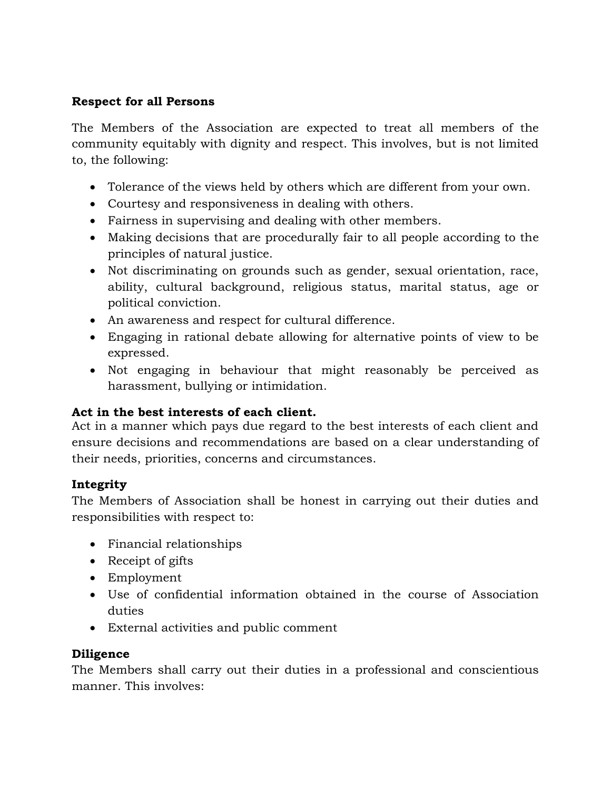# **Respect for all Persons**

The Members of the Association are expected to treat all members of the community equitably with dignity and respect. This involves, but is not limited to, the following:

- Tolerance of the views held by others which are different from your own.
- Courtesy and responsiveness in dealing with others.
- Fairness in supervising and dealing with other members.
- Making decisions that are procedurally fair to all people according to the principles of natural justice.
- Not discriminating on grounds such as gender, sexual orientation, race, ability, cultural background, religious status, marital status, age or political conviction.
- An awareness and respect for cultural difference.
- Engaging in rational debate allowing for alternative points of view to be expressed.
- Not engaging in behaviour that might reasonably be perceived as harassment, bullying or intimidation.

### **Act in the best interests of each client.**

Act in a manner which pays due regard to the best interests of each client and ensure decisions and recommendations are based on a clear understanding of their needs, priorities, concerns and circumstances.

# **Integrity**

The Members of Association shall be honest in carrying out their duties and responsibilities with respect to:

- Financial relationships
- Receipt of gifts
- Employment
- Use of confidential information obtained in the course of Association duties
- External activities and public comment

### **Diligence**

The Members shall carry out their duties in a professional and conscientious manner. This involves: